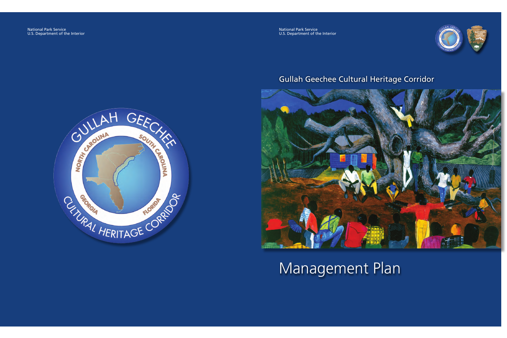

## Gullah Geechee Cultural Heritage Corridor



# Management Plan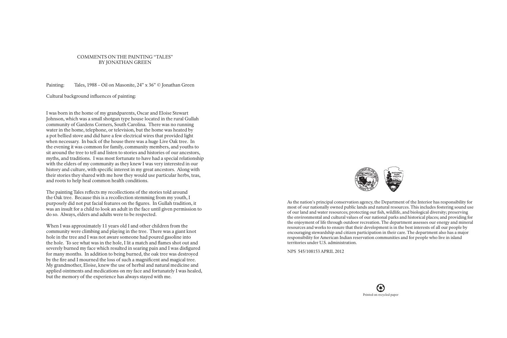## COMMENTS ON THE PAINTING "TALES" BY JONATHAN GREEN

Painting: Tales, 1988 – Oil on Masonite, 24" x 36" © Jonathan Green

Cultural background influences of painting:

I was born in the home of my grandparents, Oscar and Eloise Stewart Johnson, which was a small shotgun type house located in the rural Gullah community of Gardens Corners, South Carolina. There was no running water in the home, telephone, or television, but the home was heated by a pot bellied stove and did have a few electrical wires that provided light when necessary. In back of the house there was a huge Live Oak tree. In the evening it was common for family, community members, and youths to sit around the tree to tell and listen to stories and histories of our ancestors, myths, and traditions. I was most fortunate to have had a special relationship with the elders of my community as they knew I was very interested in our history and culture, with specific interest in my great ancestors. Along with their stories they shared with me how they would use particular herbs, teas, and roots to help heal common health conditions.

The painting Tales reflects my recollections of the stories told around the Oak tree. Because this is a recollection stemming from my youth, I purposely did not put facial features on the figures. In Gullah tradition, it was an insult for a child to look an adult in the face until given permission to do so. Always, elders and adults were to be respected.

When I was approximately 11 years old I and other children from the community were climbing and playing in the tree. There was a giant knot hole in the tree and I was not aware someone had poured gasoline into the hole. To see what was in the hole, I lit a match and flames shot out and severely burned my face which resulted in searing pain and I was disfigured for many months. In addition to being burned, the oak tree was destroyed by the fire and I mourned the loss of such a magnificent and magical tree. My grandmother, Eloise, knew the use of herbal and natural medicine and applied ointments and medications on my face and fortunately I was healed, but the memory of the experience has always stayed with me.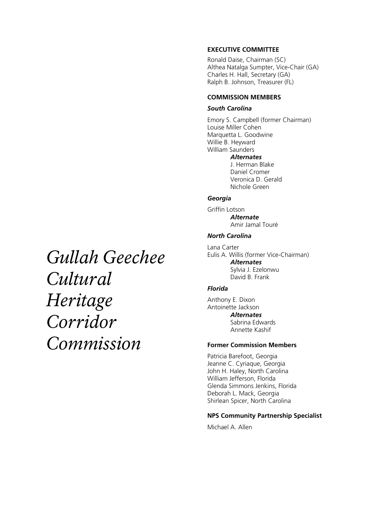#### **EXECUTIVE COMMITTEE**

Ronald Daise, Chairman (SC) Althea Natalga Sumpter, Vice-Chair (GA) Charles H. Hall, Secretary (GA) Ralph B. Johnson, Treasurer (FL)

## **COMMISSION MEMBERS**

#### *South Carolina*

Emory S. Campbell (former Chairman) Louise Miller Cohen Marquetta L. Goodwine Willie B. Heyward William Saunders *Alternates*  J. Herman Blake Daniel Cromer Veronica D. Gerald Nichole Green *Georgia* 

Griffin Lotson *Alternate*  Amir Jamal Touré

## *North Carolina*

Lana Carter Eulis A. Willis (former Vice-Chairman) *Alternates*  Sylvia J. Ezelonwu David B. Frank

#### *Florida*

Anthony E. Dixon Antoinette Jackson *Alternates*  Sabrina Edwards Annette Kashif

### **Former Commission Members**

Patricia Barefoot, Georgia Jeanne C. Cyriaque, Georgia John H. Haley, North Carolina William Jefferson, Florida Glenda Simmons Jenkins, Florida Deborah L. Mack, Georgia Shirlean Spicer, North Carolina

#### **NPS Community Partnership Specialist**

Michael A. Allen

*Gullah Geechee Cultural Heritage Corridor Commission*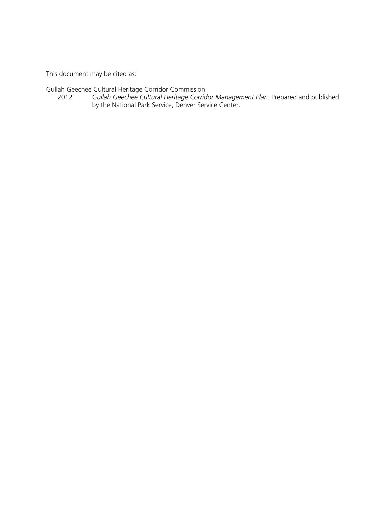This document may be cited as:

Gullah Geechee Cultural Heritage Corridor Commission

2012 *Gullah Geechee Cultural Heritage Corridor Management Plan*. Prepared and published by the National Park Service, Denver Service Center.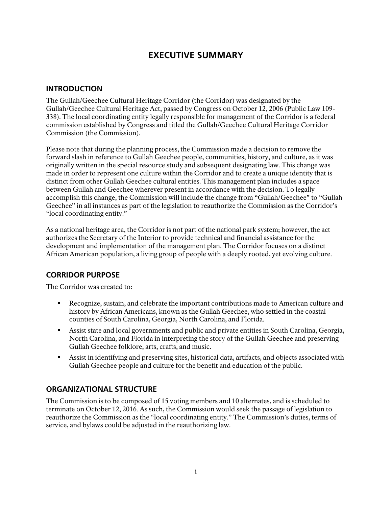## **EXECUTIVE SUMMARY**

## **INTRODUCTION**

The Gullah/Geechee Cultural Heritage Corridor (the Corridor) was designated by the Gullah/Geechee Cultural Heritage Act, passed by Congress on October 12, 2006 (Public Law 109- 338). The local coordinating entity legally responsible for management of the Corridor is a federal commission established by Congress and titled the Gullah/Geechee Cultural Heritage Corridor Commission (the Commission).

Please note that during the planning process, the Commission made a decision to remove the forward slash in reference to Gullah Geechee people, communities, history, and culture, as it was originally written in the special resource study and subsequent designating law. This change was made in order to represent one culture within the Corridor and to create a unique identity that is distinct from other Gullah Geechee cultural entities. This management plan includes a space between Gullah and Geechee wherever present in accordance with the decision. To legally accomplish this change, the Commission will include the change from "Gullah/Geechee" to "Gullah Geechee" in all instances as part of the legislation to reauthorize the Commission as the Corridor's "local coordinating entity."

As a national heritage area, the Corridor is not part of the national park system; however, the act authorizes the Secretary of the Interior to provide technical and financial assistance for the development and implementation of the management plan. The Corridor focuses on a distinct African American population, a living group of people with a deeply rooted, yet evolving culture.

## **CORRIDOR PURPOSE**

The Corridor was created to:

- Recognize, sustain, and celebrate the important contributions made to American culture and history by African Americans, known as the Gullah Geechee, who settled in the coastal counties of South Carolina, Georgia, North Carolina, and Florida.
- Assist state and local governments and public and private entities in South Carolina, Georgia, North Carolina, and Florida in interpreting the story of the Gullah Geechee and preserving Gullah Geechee folklore, arts, crafts, and music.
- Assist in identifying and preserving sites, historical data, artifacts, and objects associated with Gullah Geechee people and culture for the benefit and education of the public.

## **ORGANIZATIONAL STRUCTURE**

The Commission is to be composed of 15 voting members and 10 alternates, and is scheduled to terminate on October 12, 2016. As such, the Commission would seek the passage of legislation to reauthorize the Commission as the "local coordinating entity." The Commission's duties, terms of service, and bylaws could be adjusted in the reauthorizing law.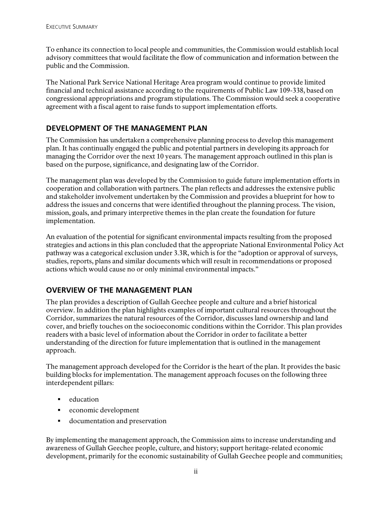To enhance its connection to local people and communities, the Commission would establish local advisory committees that would facilitate the flow of communication and information between the public and the Commission.

The National Park Service National Heritage Area program would continue to provide limited financial and technical assistance according to the requirements of Public Law 109-338, based on congressional appropriations and program stipulations. The Commission would seek a cooperative agreement with a fiscal agent to raise funds to support implementation efforts.

## **DEVELOPMENT OF THE MANAGEMENT PLAN**

The Commission has undertaken a comprehensive planning process to develop this management plan. It has continually engaged the public and potential partners in developing its approach for managing the Corridor over the next 10 years. The management approach outlined in this plan is based on the purpose, significance, and designating law of the Corridor.

The management plan was developed by the Commission to guide future implementation efforts in cooperation and collaboration with partners. The plan reflects and addresses the extensive public and stakeholder involvement undertaken by the Commission and provides a blueprint for how to address the issues and concerns that were identified throughout the planning process. The vision, mission, goals, and primary interpretive themes in the plan create the foundation for future implementation.

An evaluation of the potential for significant environmental impacts resulting from the proposed strategies and actions in this plan concluded that the appropriate National Environmental Policy Act pathway was a categorical exclusion under 3.3R, which is for the "adoption or approval of surveys, studies, reports, plans and similar documents which will result in recommendations or proposed actions which would cause no or only minimal environmental impacts."

## **OVERVIEW OF THE MANAGEMENT PLAN**

The plan provides a description of Gullah Geechee people and culture and a brief historical overview. In addition the plan highlights examples of important cultural resources throughout the Corridor, summarizes the natural resources of the Corridor, discusses land ownership and land cover, and briefly touches on the socioeconomic conditions within the Corridor. This plan provides readers with a basic level of information about the Corridor in order to facilitate a better understanding of the direction for future implementation that is outlined in the management approach.

The management approach developed for the Corridor is the heart of the plan. It provides the basic building blocks for implementation. The management approach focuses on the following three interdependent pillars:

- $\blacksquare$  education
- economic development
- documentation and preservation

By implementing the management approach, the Commission aims to increase understanding and awareness of Gullah Geechee people, culture, and history; support heritage-related economic development, primarily for the economic sustainability of Gullah Geechee people and communities;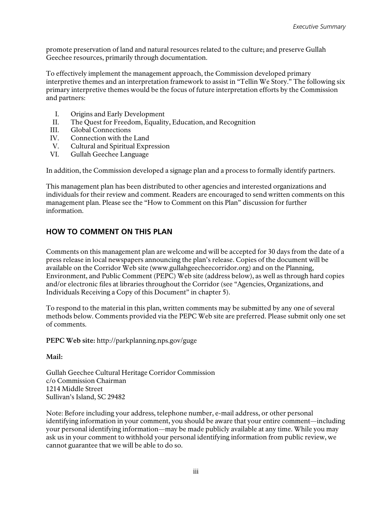promote preservation of land and natural resources related to the culture; and preserve Gullah Geechee resources, primarily through documentation.

To effectively implement the management approach, the Commission developed primary interpretive themes and an interpretation framework to assist in "Tellin We Story." The following six primary interpretive themes would be the focus of future interpretation efforts by the Commission and partners:

- I. Origins and Early Development
- II. The Quest for Freedom, Equality, Education, and Recognition
- III. Global Connections
- IV. Connection with the Land
- V. Cultural and Spiritual Expression
- VI. Gullah Geechee Language

In addition, the Commission developed a signage plan and a process to formally identify partners.

This management plan has been distributed to other agencies and interested organizations and individuals for their review and comment. Readers are encouraged to send written comments on this management plan. Please see the "How to Comment on this Plan" discussion for further information.

## **HOW TO COMMENT ON THIS PLAN**

Comments on this management plan are welcome and will be accepted for 30 days from the date of a press release in local newspapers announcing the plan's release. Copies of the document will be available on the Corridor Web site (www.gullahgeecheecorridor.org) and on the Planning, Environment, and Public Comment (PEPC) Web site (address below), as well as through hard copies and/or electronic files at libraries throughout the Corridor (see "Agencies, Organizations, and Individuals Receiving a Copy of this Document" in chapter 5).

To respond to the material in this plan, written comments may be submitted by any one of several methods below. Comments provided via the PEPC Web site are preferred. Please submit only one set of comments.

**PEPC Web site:** http://parkplanning.nps.gov/guge

**Mail:** 

Gullah Geechee Cultural Heritage Corridor Commission c/o Commission Chairman 1214 Middle Street Sullivan's Island, SC 29482

Note: Before including your address, telephone number, e-mail address, or other personal identifying information in your comment, you should be aware that your entire comment—including your personal identifying information—may be made publicly available at any time. While you may ask us in your comment to withhold your personal identifying information from public review, we cannot guarantee that we will be able to do so.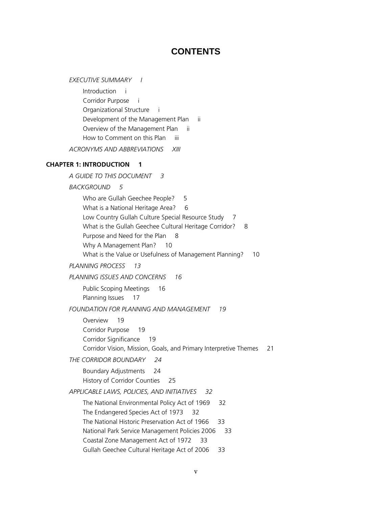## **CONTENTS**

*EXECUTIVE SUMMARY I* Introduction i Corridor Purpose i Organizational Structure i Development of the Management Plan ii Overview of the Management Plan ii How to Comment on this Plan iii *ACRONYMS AND ABBREVIATIONS XIII* **CHAPTER 1: INTRODUCTION 1** *A GUIDE TO THIS DOCUMENT 3 BACKGROUND 5* Who are Gullah Geechee People? 5 What is a National Heritage Area? 6 Low Country Gullah Culture Special Resource Study 7 What is the Gullah Geechee Cultural Heritage Corridor? 8 Purpose and Need for the Plan 8 Why A Management Plan? 10 What is the Value or Usefulness of Management Planning? 10 *PLANNING PROCESS 13 PLANNING ISSUES AND CONCERNS 16* Public Scoping Meetings 16 Planning Issues 17 *FOUNDATION FOR PLANNING AND MANAGEMENT 19* Overview 19 Corridor Purpose 19 Corridor Significance 19 Corridor Vision, Mission, Goals, and Primary Interpretive Themes 21 *THE CORRIDOR BOUNDARY 24* Boundary Adjustments 24 History of Corridor Counties 25 *APPLICABLE LAWS, POLICIES, AND INITIATIVES 32* The National Environmental Policy Act of 1969 32 The Endangered Species Act of 1973 32 The National Historic Preservation Act of 1966 33 National Park Service Management Policies 2006 33 Coastal Zone Management Act of 1972 33 Gullah Geechee Cultural Heritage Act of 2006 33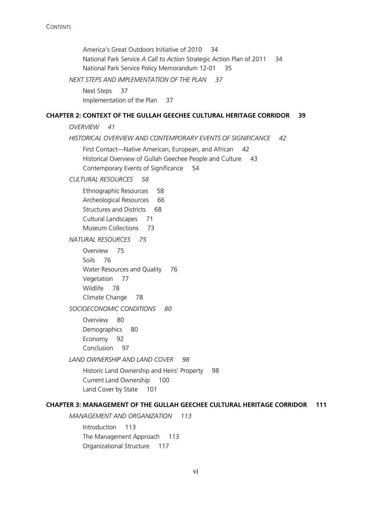America's Great Outdoors Initiative of 2010 34 National Park Service *A Call to Action* Strategic Action Plan of 2011 34 National Park Service Policy Memorandum 12-01 35

*NEXT STEPS AND IMPLEMENTATION OF THE PLAN 37*

Next Steps 37 Implementation of the Plan 37

#### **CHAPTER 2: CONTEXT OF THE GULLAH GEECHEE CULTURAL HERITAGE CORRIDOR 39**

*OVERVIEW 41*

*HISTORICAL OVERVIEW AND CONTEMPORARY EVENTS OF SIGNIFICANCE 42*

First Contact—Native American, European, and African 42 Historical Overview of Gullah Geechee People and Culture 43 Contemporary Events of Significance 54

*CULTURAL RESOURCES 58*

Ethnographic Resources 58 Archeological Resources 66 Structures and Districts 68 Cultural Landscapes 71 Museum Collections 73

*NATURAL RESOURCES 75*

Overview 75 Soils 76 Water Resources and Quality 76 Vegetation 77 Wildlife 78 Climate Change 78

*SOCIOECONOMIC CONDITIONS 80*

Overview 80 Demographics 80 Economy 92 Conclusion 97

*LAND OWNERSHIP AND LAND COVER 98*

Historic Land Ownership and Heirs' Property 98 Current Land Ownership 100 Land Cover by State 101

## **CHAPTER 3: MANAGEMENT OF THE GULLAH GEECHEE CULTURAL HERITAGE CORRIDOR 111**

*MANAGEMENT AND ORGANIZATION 113*

Introduction 113 The Management Approach 113 Organizational Structure 117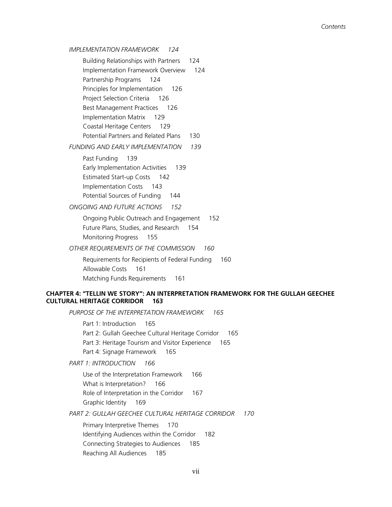## *IMPLEMENTATION FRAMEWORK 124*

Building Relationships with Partners 124 Implementation Framework Overview 124 Partnership Programs 124 Principles for Implementation 126 Project Selection Criteria 126 Best Management Practices 126 Implementation Matrix 129 Coastal Heritage Centers 129 Potential Partners and Related Plans 130

#### *FUNDING AND EARLY IMPLEMENTATION 139*

Past Funding 139 Early Implementation Activities 139 Estimated Start-up Costs 142 Implementation Costs 143 Potential Sources of Funding 144

*ONGOING AND FUTURE ACTIONS 152*

Ongoing Public Outreach and Engagement 152 Future Plans, Studies, and Research 154 Monitoring Progress 155

*OTHER REQUIREMENTS OF THE COMMISSION 160*

Requirements for Recipients of Federal Funding 160 Allowable Costs 161 Matching Funds Requirements 161

## **CHAPTER 4: "TELLIN WE STORY": AN INTERPRETATION FRAMEWORK FOR THE GULLAH GEECHEE CULTURAL HERITAGE CORRIDOR 163**

*PURPOSE OF THE INTERPRETATION FRAMEWORK 165*

Part 1: Introduction 165 Part 2: Gullah Geechee Cultural Heritage Corridor 165 Part 3: Heritage Tourism and Visitor Experience 165 Part 4: Signage Framework 165

*PART 1: INTRODUCTION 166*

Use of the Interpretation Framework 166 What is Interpretation? 166 Role of Interpretation in the Corridor 167 Graphic Identity 169

*PART 2: GULLAH GEECHEE CULTURAL HERITAGE CORRIDOR 170*

Primary Interpretive Themes 170 Identifying Audiences within the Corridor 182 Connecting Strategies to Audiences 185 Reaching All Audiences 185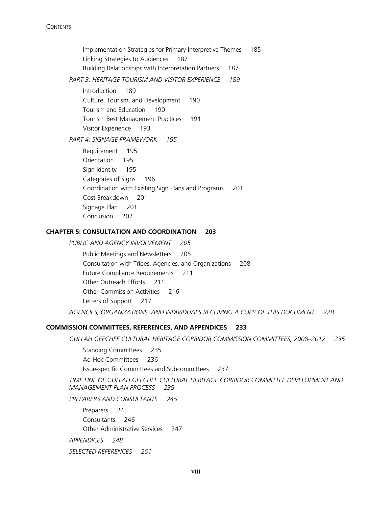**CONTENTS** 

Implementation Strategies for Primary Interpretive Themes 185 Linking Strategies to Audiences 187 Building Relationships with Interpretation Partners 187 *PART 3: HERITAGE TOURISM AND VISITOR EXPERIENCE 189* Introduction 189 Culture, Tourism, and Development 190 Tourism and Education 190 Tourism Best Management Practices 191 Visitor Experience 193 *PART 4: SIGNAGE FRAMEWORK 195* Requirement 195 Orientation 195 Sign Identity 195 Categories of Signs 196 Coordination with Existing Sign Plans and Programs 201 Cost Breakdown 201 Signage Plan 201

Conclusion 202

#### **CHAPTER 5: CONSULTATION AND COORDINATION 203**

*PUBLIC AND AGENCY INVOLVEMENT 205*

Public Meetings and Newsletters 205 Consultation with Tribes, Agencies, and Organizations 208 Future Compliance Requirements 211 Other Outreach Efforts 211 Other Commission Activities 216 Letters of Support 217

*AGENCIES, ORGANIZATIONS, AND INDIVIDUALS RECEIVING A COPY OF THIS DOCUMENT 228*

### **COMMISSION COMMITTEES, REFERENCES, AND APPENDICES 233**

*GULLAH GEECHEE CULTURAL HERITAGE CORRIDOR COMMISSION COMMITTEES, 2008–2012 235*

Standing Committees 235 Ad-Hoc Committees 236 Issue-specific Committees and Subcommittees 237

*TIME LINE OF GULLAH GEECHEE CULTURAL HERITAGE CORRIDOR COMMITTEE DEVELOPMENT AND MANAGEMENT PLAN PROCESS 239*

*PREPARERS AND CONSULTANTS 245*

Preparers 245 Consultants 246 Other Administrative Services 247

*APPENDICES 248*

*SELECTED REFERENCES 251*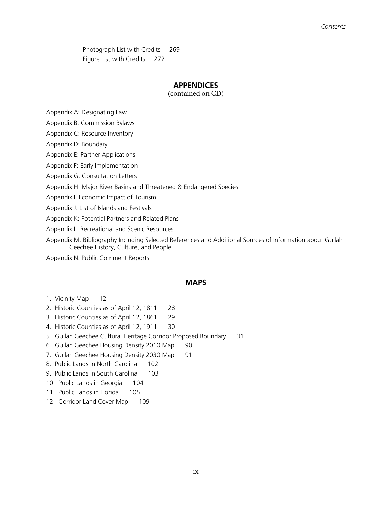Photograph List with Credits 269 Figure List with Credits 272

## **APPENDICES**

(contained on CD)

Appendix A: Designating Law

Appendix B: Commission Bylaws

Appendix C: Resource Inventory

Appendix D: Boundary

Appendix E: Partner Applications

Appendix F: Early Implementation

Appendix G: Consultation Letters

Appendix H: Major River Basins and Threatened & Endangered Species

Appendix I: Economic Impact of Tourism

Appendix J: List of Islands and Festivals

Appendix K: Potential Partners and Related Plans

Appendix L: Recreational and Scenic Resources

Appendix M: Bibliography Including Selected References and Additional Sources of Information about Gullah Geechee History, Culture, and People

Appendix N: Public Comment Reports

## **MAPS**

- 1. Vicinity Map 12
- 2. Historic Counties as of April 12, 1811 28
- 3. Historic Counties as of April 12, 1861 29
- 4. Historic Counties as of April 12, 1911 30
- 5. Gullah Geechee Cultural Heritage Corridor Proposed Boundary 31
- 6. Gullah Geechee Housing Density 2010 Map 90
- 7. Gullah Geechee Housing Density 2030 Map 91
- 8. Public Lands in North Carolina 102
- 9. Public Lands in South Carolina 103
- 10. Public Lands in Georgia 104
- 11. Public Lands in Florida 105
- 12. Corridor Land Cover Map 109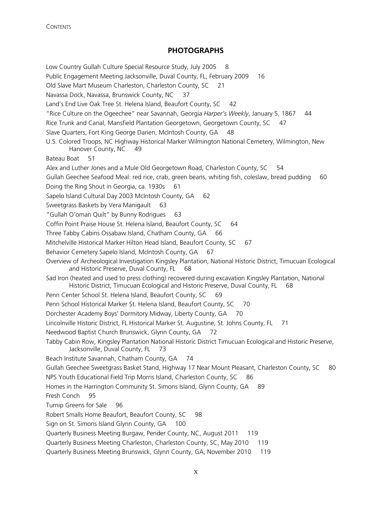## **PHOTOGRAPHS**

Low Country Gullah Culture Special Resource Study, July 2005 8 Public Engagement Meeting Jacksonville, Duval County, FL, February 2009 16 Old Slave Mart Museum Charleston, Charleston County, SC 21 Navassa Dock, Navassa, Brunswick County, NC 37 Land's End Live Oak Tree St. Helena Island, Beaufort County, SC 42 "Rice Culture on the Ogeechee" near Savannah, Georgia *Harper's Weekly*, January 5, 1867 44 Rice Trunk and Canal, Mansfield Plantation Georgetown, Georgetown County, SC 47 Slave Quarters, Fort King George Darien, McIntosh County, GA 48 U.S. Colored Troops, NC Highway Historical Marker Wilmington National Cemetery, Wilmington, New Hanover County, NC 49 Bateau Boat 51 Alex and Luther Jones and a Mule Old Georgetown Road, Charleston County, SC 54 Gullah Geechee Seafood Meal: red rice, crab, green beans, whiting fish, coleslaw, bread pudding 60 Doing the Ring Shout in Georgia, ca. 1930s 61 Sapelo Island Cultural Day 2003 McIntosh County, GA 62 Sweetgrass Baskets by Vera Manigault 63 "Gullah O'oman Quilt" by Bunny Rodrigues 63 Coffin Point Praise House St. Helena Island, Beaufort County, SC 64 Three Tabby Cabins Ossabaw Island, Chatham County, GA 66 Mitchelville Historical Marker Hilton Head Island, Beaufort County, SC 67 Behavior Cemetery Sapelo Island, McIntosh County, GA 67 Overview of Archeological Investigation Kingsley Plantation, National Historic District, Timucuan Ecological and Historic Preserve, Duval County, FL 68 Sad Iron (heated and used to press clothing) recovered during excavation Kingsley Plantation, National Historic District, Timucuan Ecological and Historic Preserve, Duval County, FL 68 Penn Center School St. Helena Island, Beaufort County, SC 69 Penn School Historical Marker St. Helena Island, Beaufort County, SC 70 Dorchester Academy Boys' Dormitory Midway, Liberty County, GA 70 Lincolnville Historic District, FL Historical Marker St. Augustine, St. Johns County, FL 71 Needwood Baptist Church Brunswick, Glynn County, GA 72 Tabby Cabin Row, Kingsley Plantation National Historic District Timucuan Ecological and Historic Preserve, Jacksonville, Duval County, FL 73 Beach Institute Savannah, Chatham County, GA 74 Gullah Geechee Sweetgrass Basket Stand, Highway 17 Near Mount Pleasant, Charleston County, SC 80 NPS Youth Educational Field Trip Morris Island, Charleston County, SC 86 Homes in the Harrington Community St. Simons Island, Glynn County, GA 89 Fresh Conch 95 Turnip Greens for Sale 96 Robert Smalls Home Beaufort, Beaufort County, SC 98 Sign on St. Simons Island Glynn County, GA 100 Quarterly Business Meeting Burgaw, Pender County, NC, August 2011 119 Quarterly Business Meeting Charleston, Charleston County, SC, May 2010 119 Quarterly Business Meeting Brunswick, Glynn County, GA, November 2010 119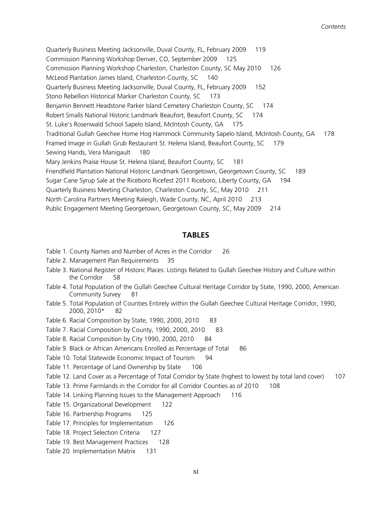Quarterly Business Meeting Jacksonville, Duval County, FL, February 2009 119 Commission Planning Workshop Denver, CO, September 2009 125 Commission Planning Workshop Charleston, Charleston County, SC May 2010 126 McLeod Plantation James Island, Charleston County, SC 140 Quarterly Business Meeting Jacksonville, Duval County, FL, February 2009 152 Stono Rebellion Historical Marker Charleston County, SC 173 Benjamin Bennett Headstone Parker Island Cemetery Charleston County, SC 174 Robert Smalls National Historic Landmark Beaufort, Beaufort County, SC 174 St. Luke's Rosenwald School Sapelo Island, McIntosh County, GA 175 Traditional Gullah Geechee Home Hog Hammock Community Sapelo Island, McIntosh County, GA 178 Framed Image in Gullah Grub Restaurant St. Helena Island, Beaufort County, SC 179 Sewing Hands, Vera Manigault 180 Mary Jenkins Praise House St. Helena Island, Beaufort County, SC 181 Friendfield Plantation National Historic Landmark Georgetown, Georgetown County, SC 189 Sugar Cane Syrup Sale at the Riceboro Ricefest 2011 Riceboro, Liberty County, GA 194 Quarterly Business Meeting Charleston, Charleston County, SC, May 2010 211 North Carolina Partners Meeting Raleigh, Wade County, NC, April 2010 213 Public Engagement Meeting Georgetown, Georgetown County, SC, May 2009 214

#### **TABLES**

- Table 1. County Names and Number of Acres in the Corridor 26
- Table 2. Management Plan Requirements 35
- Table 3. National Register of Historic Places: Listings Related to Gullah Geechee History and Culture within the Corridor 58
- Table 4. Total Population of the Gullah Geechee Cultural Heritage Corridor by State, 1990, 2000, American Community Survey 81
- Table 5. Total Population of Counties Entirely within the Gullah Geechee Cultural Heritage Corridor, 1990, 2000, 2010\* 82
- Table 6. Racial Composition by State, 1990, 2000, 2010 83
- Table 7. Racial Composition by County, 1990, 2000, 2010 83
- Table 8. Racial Composition by City 1990, 2000, 2010 84
- Table 9. Black or African Americans Enrolled as Percentage of Total 86
- Table 10. Total Statewide Economic Impact of Tourism 94
- Table 11. Percentage of Land Ownership by State 106
- Table 12. Land Cover as a Percentage of Total Corridor by State (highest to lowest by total land cover) 107
- Table 13. Prime Farmlands in the Corridor for all Corridor Counties as of 2010 108
- Table 14. Linking Planning Issues to the Management Approach 116
- Table 15. Organizational Development 122
- Table 16. Partnership Programs 125
- Table 17. Principles for Implementation 126
- Table 18. Project Selection Criteria 127
- Table 19. Best Management Practices 128
- Table 20. Implementation Matrix 131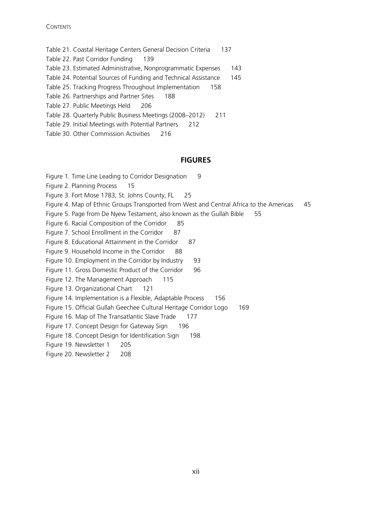#### **CONTENTS**

- Table 21. Coastal Heritage Centers General Decision Criteria 137
- Table 22. Past Corridor Funding 139
- Table 23. Estimated Administrative, Nonprogrammatic Expenses 143
- Table 24. Potential Sources of Funding and Technical Assistance 145
- Table 25. Tracking Progress Throughout Implementation 158
- Table 26. Partnerships and Partner Sites 188
- Table 27. Public Meetings Held 206
- Table 28. Quarterly Public Business Meetings (2008–2012) 211
- Table 29. Initial Meetings with Potential Partners 212
- Table 30. Other Commission Activities 216

## **FIGURES**

- Figure 1. Time Line Leading to Corridor Designation 9
- Figure 2. Planning Process 15
- Figure 3. Fort Mose 1783, St. Johns County, FL 25
- Figure 4. Map of Ethnic Groups Transported from West and Central Africa to the Americas 45
- Figure 5. Page from De Nyew Testament, also known as the Gullah Bible 55
- Figure 6. Racial Composition of the Corridor 85
- Figure 7. School Enrollment in the Corridor 87
- Figure 8. Educational Attainment in the Corridor 87
- Figure 9. Household Income in the Corridor 88
- Figure 10. Employment in the Corridor by Industry 93
- Figure 11. Gross Domestic Product of the Corridor 96
- Figure 12. The Management Approach 115
- Figure 13. Organizational Chart 121
- Figure 14. Implementation is a Flexible, Adaptable Process 156
- Figure 15. Official Gullah Geechee Cultural Heritage Corridor Logo 169
- Figure 16. Map of The Transatlantic Slave Trade 177
- Figure 17. Concept Design for Gateway Sign 196
- Figure 18. Concept Design for Identification Sign 198
- Figure 19. Newsletter 1 205
- Figure 20. Newsletter 2 208